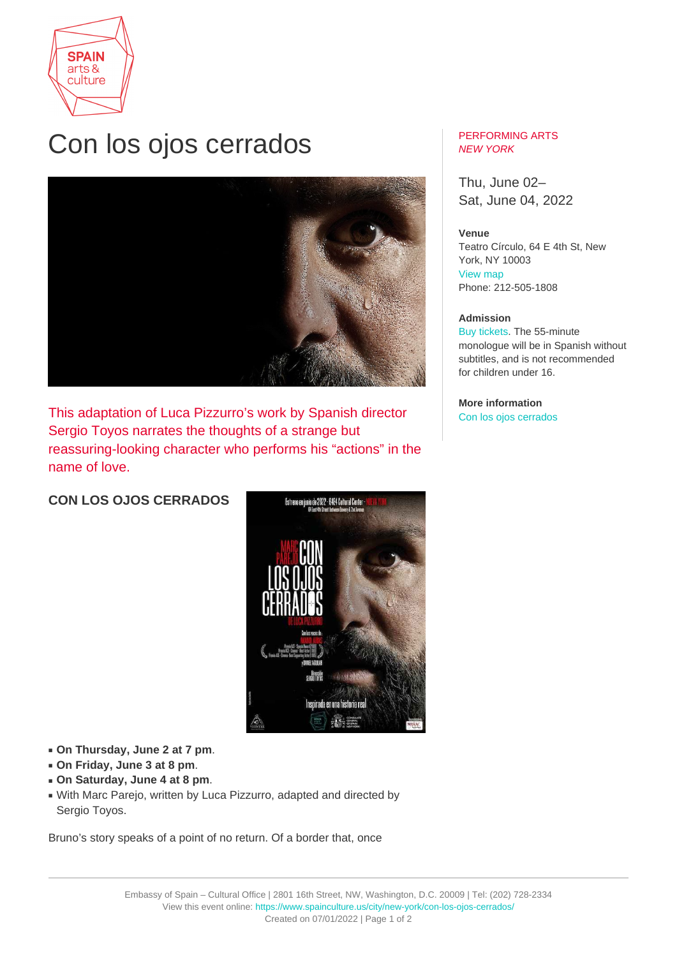

## Con los ojos cerrados



This adaptation of Luca Pizzurro's work by Spanish director Sergio Toyos narrates the thoughts of a strange but reassuring-looking character who performs his "actions" in the name of love.

**CON LOS OJOS CERRADOS**



- **On Thursday, June 2 at 7 pm**.
- **On Friday, June 3 at 8 pm**.
- **On Saturday, June 4 at 8 pm**.
- With Marc Parejo, written by Luca Pizzurro, adapted and directed by Sergio Toyos.

Bruno's story speaks of a point of no return. Of a border that, once

## PERFORMING ARTS NEW YORK

Thu, June 02– Sat, June 04, 2022

## **Venue**

Teatro Círculo, 64 E 4th St, New York, NY 10003 [View map](https://maps.google.com/maps?q=Teatro+C%C3%ADrculo%2C+64+E+4th+St%2C+New+York%2C+NY+10003) Phone: 212-505-1808

## **Admission**

[Buy tickets.](https://app.arts-people.com/index.php?show=135924) The 55-minute monologue will be in Spanish without subtitles, and is not recommended for children under 16.

**More information** [Con los ojos cerrados](https://conlosojoscerrados.es)